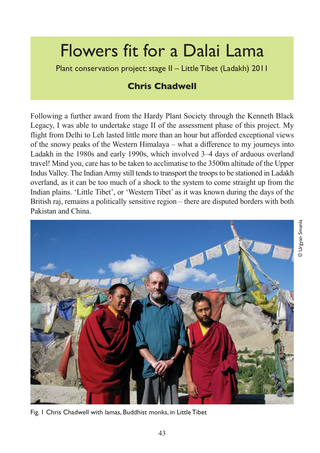# Flowers fit for a Dalai Lama

Plant conservation project: stage II – Little Tibet (Ladakh) 2011

# **Chris Chadwell**

Following a further award from the Hardy Plant Society through the Kenneth Black Legacy, I was able to undertake stage II of the assessment phase of this project. My flight from Delhi to Leh lasted little more than an hour but afforded exceptional views of the snowy peaks of the Western Himalaya – what a difference to my journeys into Ladakh in the 1980s and early 1990s, which involved 3–4 days of arduous overland travel! Mind you, care has to be taken to acclimatise to the 3500m altitude of the Upper Indus Valley. The Indian Army still tends to transport the troops to be stationed in Ladakh overland, as it can be too much of a shock to the system to come straight up from the Indian plains. 'Little Tibet', or 'Western Tibet' as it was known during the days of the British raj, remains a politically sensitive region – there are disputed borders with both Pakistan and China.



Fig. 1 Chris Chadwell with lamas, Buddhist monks, in Little Tibet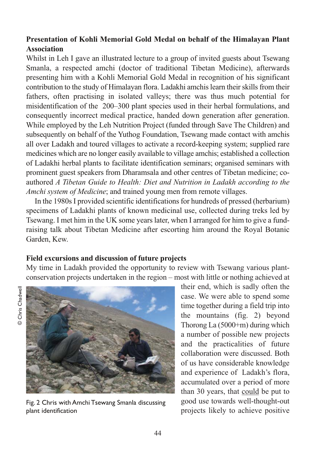### **Presentation of Kohli Memorial Gold Medal on behalf of the Himalayan Plant Association**

Whilst in Leh I gave an illustrated lecture to a group of invited guests about Tsewang Smanla, a respected amchi (doctor of traditional Tibetan Medicine), afterwards presenting him with a Kohli Memorial Gold Medal in recognition of his significant contribution to the study of Himalayan flora. Ladakhi amchis learn their skills from their fathers, often practising in isolated valleys; there was thus much potential for misidentification of the 200–300 plant species used in their herbal formulations, and consequently incorrect medical practice, handed down generation after generation. While employed by the Leh Nutrition Project (funded through Save The Children) and subsequently on behalf of the Yuthog Foundation, Tsewang made contact with amchis all over Ladakh and toured villages to activate a record-keeping system; supplied rare medicines which are no longer easily available to village amchis; established a collection of Ladakhi herbal plants to facilitate identification seminars; organised seminars with prominent guest speakers from Dharamsala and other centres of Tibetan medicine; coauthored *A Tibetan Guide to Health: Diet and Nutrition in Ladakh according to the Amchi system of Medicine*; and trained young men from remote villages.

In the 1980s I provided scientific identifications for hundreds of pressed (herbarium) specimens of Ladakhi plants of known medicinal use, collected during treks led by Tsewang. I met him in the UK some years later, when I arranged for him to give a fundraising talk about Tibetan Medicine after escorting him around the Royal Botanic Garden, Kew.

#### **Field excursions and discussion of future projects**

My time in Ladakh provided the opportunity to review with Tsewang various plantconservation projects undertaken in the region – most with little or nothing achieved at





Fig. 2 Chris with Amchi Tsewang Smanla discussing plant identification

their end, which is sadly often the case. We were able to spend some time together during a field trip into the mountains (fig. 2) beyond Thorong La (5000+m) during which a number of possible new projects and the practicalities of future collaboration were discussed. Both of us have considerable knowledge and experience of Ladakh's flora, accumulated over a period of more than 30 years, that could be put to good use towards well-thought-out projects likely to achieve positive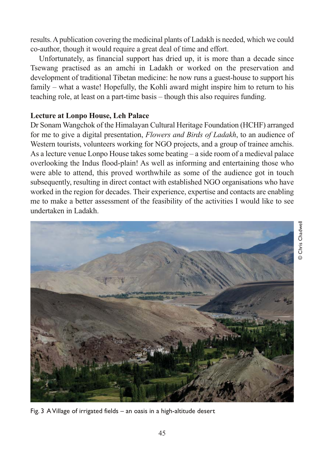results. A publication covering the medicinal plants of Ladakh is needed, which we could co-author, though it would require a great deal of time and effort.

Unfortunately, as financial support has dried up, it is more than a decade since Tsewang practised as an amchi in Ladakh or worked on the preservation and development of traditional Tibetan medicine: he now runs a guest-house to support his family – what a waste! Hopefully, the Kohli award might inspire him to return to his teaching role, at least on a part-time basis – though this also requires funding.

#### **Lecture at Lonpo House, Leh Palace**

Dr Sonam Wangchok of the Himalayan Cultural Heritage Foundation (HCHF) arranged for me to give a digital presentation, *Flowers and Birds of Ladakh*, to an audience of Western tourists, volunteers working for NGO projects, and a group of trainee amchis. As a lecture venue Lonpo House takes some beating – a side room of a medieval palace overlooking the Indus flood-plain! As well as informing and entertaining those who were able to attend, this proved worthwhile as some of the audience got in touch subsequently, resulting in direct contact with established NGO organisations who have worked in the region for decades. Their experience, expertise and contacts are enabling me to make a better assessment of the feasibility of the activities I would like to see undertaken in Ladakh.



Fig. 3 A Village of irrigated fields – an oasis in a high-altitude desert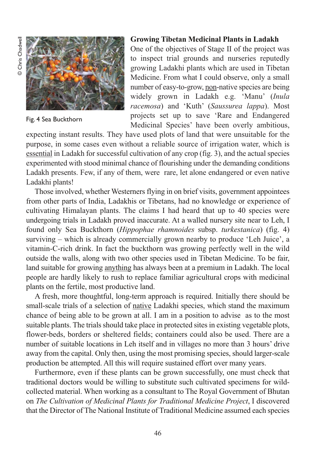

Fig. 4 Sea Buckthorn

#### **Growing Tibetan Medicinal Plants in Ladakh**

One of the objectives of Stage II of the project was to inspect trial grounds and nurseries reputedly growing Ladakhi plants which are used in Tibetan Medicine. From what I could observe, only a small number of easy-to-grow, non-native species are being widely grown in Ladakh e.g. 'Manu' (*Inula racemosa*) and 'Kuth' (*Saussurea lappa*). Most projects set up to save 'Rare and Endangered Medicinal Species' have been overly ambitious,

expecting instant results. They have used plots of land that were unsuitable for the purpose, in some cases even without a reliable source of irrigation water, which is essential in Ladakh for successful cultivation of any crop (fig. 3), and the actual species experimented with stood minimal chance of flourishing under the demanding conditions Ladakh presents. Few, if any of them, were rare, let alone endangered or even native Ladakhi plants!

Those involved, whether Westerners flying in on brief visits, government appointees from other parts of India, Ladakhis or Tibetans, had no knowledge or experience of cultivating Himalayan plants. The claims I had heard that up to 40 species were undergoing trials in Ladakh proved inaccurate. At a walled nursery site near to Leh, I found only Sea Buckthorn (*Hippophae rhamnoides* subsp. *turkestanica*) (fig. 4) surviving – which is already commercially grown nearby to produce 'Leh Juice', a vitamin-C-rich drink. In fact the buckthorn was growing perfectly well in the wild outside the walls, along with two other species used in Tibetan Medicine. To be fair, land suitable for growing anything has always been at a premium in Ladakh. The local people are hardly likely to rush to replace familiar agricultural crops with medicinal plants on the fertile, most productive land.

A fresh, more thoughtful, long-term approach is required. Initially there should be small-scale trials of a selection of native Ladakhi species, which stand the maximum chance of being able to be grown at all. I am in a position to advise as to the most suitable plants. The trials should take place in protected sites in existing vegetable plots, flower-beds, borders or sheltered fields; containers could also be used. There are a number of suitable locations in Leh itself and in villages no more than 3 hours' drive away from the capital. Only then, using the most promising species, should larger-scale production be attempted. All this will require sustained effort over many years.

Furthermore, even if these plants can be grown successfully, one must check that traditional doctors would be willing to substitute such cultivated specimens for wildcollected material. When working as a consultant to The Royal Government of Bhutan on *The Cultivation of Medicinal Plants for Traditional Medicine Project*, I discovered that the Director of The National Institute of Traditional Medicine assumed each species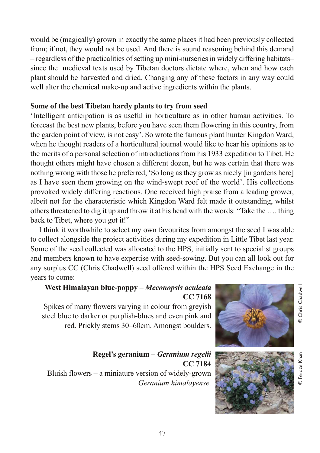would be (magically) grown in exactly the same places it had been previously collected from; if not, they would not be used. And there is sound reasoning behind this demand – regardless of the practicalities of setting up mini-nurseries in widely differing habitats– since the medieval texts used by Tibetan doctors dictate where, when and how each plant should be harvested and dried. Changing any of these factors in any way could well alter the chemical make-up and active ingredients within the plants.

#### **Some of the best Tibetan hardy plants to try from seed**

'Intelligent anticipation is as useful in horticulture as in other human activities. To forecast the best new plants, before you have seen them flowering in this country, from the garden point of view, is not easy'. So wrote the famous plant hunter Kingdon Ward, when he thought readers of a horticultural journal would like to hear his opinions as to the merits of a personal selection of introductions from his 1933 expedition to Tibet. He thought others might have chosen a different dozen, but he was certain that there was nothing wrong with those he preferred, 'So long as they grow as nicely [in gardens here] as I have seen them growing on the wind-swept roof of the world'. His collections provoked widely differing reactions. One received high praise from a leading grower, albeit not for the characteristic which Kingdon Ward felt made it outstanding, whilst others threatened to dig it up and throw it at his head with the words: "Take the …. thing back to Tibet, where you got it!"

I think it worthwhile to select my own favourites from amongst the seed I was able to collect alongside the project activities during my expedition in Little Tibet last year. Some of the seed collected was allocated to the HPS, initially sent to specialist groups and members known to have expertise with seed-sowing. But you can all look out for any surplus CC (Chris Chadwell) seed offered within the HPS Seed Exchange in the years to come:

## **West Himalayan blue-poppy –** *Meconopsis aculeata* **CC 7168**

Spikes of many flowers varying in colour from greyish steel blue to darker or purplish-blues and even pink and red. Prickly stems 30–60cm. Amongst boulders.

**Regel's geranium –** *Geranium regelii* **CC 7184** Bluish flowers – a miniature version of widely-grown *Geranium himalayense*.



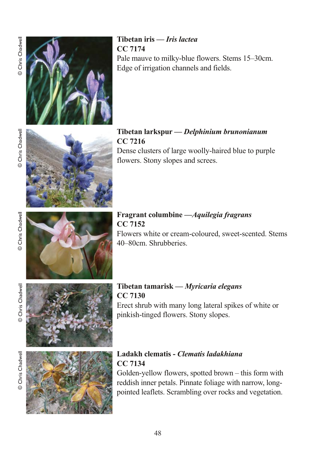

**Tibetan iris —** *Iris lactea* **CC 7174**

Pale mauve to milky-blue flowers. Stems 15–30cm. Edge of irrigation channels and fields.



**Tibetan larkspur —** *Delphinium brunonianum* **CC 7216** Dense clusters of large woolly-haired blue to purple

#### **Fragrant columbine —***Aquilegia fragrans* **CC 7152**

flowers. Stony slopes and screes.

Flowers white or cream-coloured, sweet-scented. Stems 40–80cm. Shrubberies.

© Chris Chadwell



**Tibetan tamarisk —** *Myricaria elegans* **CC 7130** Erect shrub with many long lateral spikes of white or pinkish-tinged flowers. Stony slopes.



## **Ladakh clematis -** *Clematis ladakhiana* **CC 7134**

Golden-yellow flowers, spotted brown – this form with reddish inner petals. Pinnate foliage with narrow, longpointed leaflets. Scrambling over rocks and vegetation.